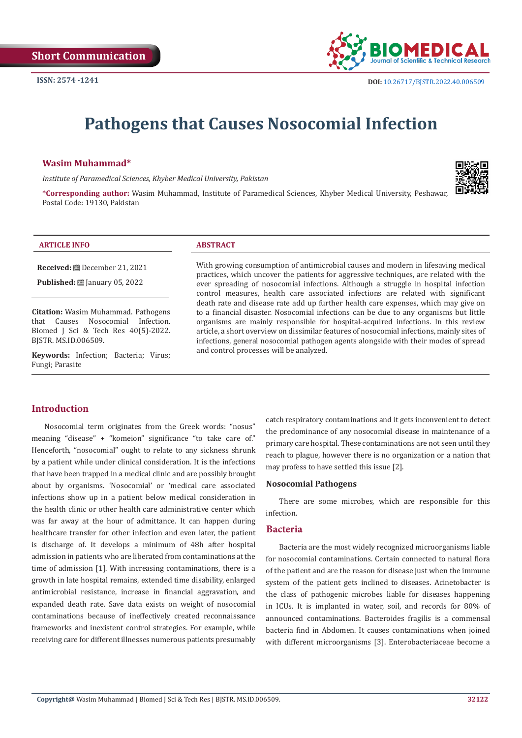

# **Pathogens that Causes Nosocomial Infection**

#### **Wasim Muhammad\***

*Institute of Paramedical Sciences, Khyber Medical University, Pakistan*



**\*Corresponding author:** Wasim Muhammad, Institute of Paramedical Sciences, Khyber Medical University, Peshawar, Postal Code: 19130, Pakistan

#### **ARTICLE INFO ABSTRACT**

**Received:** December 21, 2021

**Published:** [2010] January 05, 2022

**Citation:** Wasim Muhammad. Pathogens that Causes Nosocomial Infection. Biomed J Sci & Tech Res 40(5)-2022. BJSTR. MS.ID.006509.

**Keywords:** Infection; Bacteria; Virus; Fungi; Parasite

With growing consumption of antimicrobial causes and modern in lifesaving medical practices, which uncover the patients for aggressive techniques, are related with the ever spreading of nosocomial infections. Although a struggle in hospital infection control measures, health care associated infections are related with significant death rate and disease rate add up further health care expenses, which may give on to a financial disaster. Nosocomial infections can be due to any organisms but little organisms are mainly responsible for hospital-acquired infections. In this review article, a short overview on dissimilar features of nosocomial infections, mainly sites of infections, general nosocomial pathogen agents alongside with their modes of spread and control processes will be analyzed.

# **Introduction**

Nosocomial term originates from the Greek words: "nosus" meaning "disease" + "komeion" significance "to take care of." Henceforth, "nosocomial" ought to relate to any sickness shrunk by a patient while under clinical consideration. It is the infections that have been trapped in a medical clinic and are possibly brought about by organisms. 'Nosocomial' or 'medical care associated infections show up in a patient below medical consideration in the health clinic or other health care administrative center which was far away at the hour of admittance. It can happen during healthcare transfer for other infection and even later, the patient is discharge of. It develops a minimum of 48h after hospital admission in patients who are liberated from contaminations at the time of admission [1]. With increasing contaminations, there is a growth in late hospital remains, extended time disability, enlarged antimicrobial resistance, increase in financial aggravation, and expanded death rate. Save data exists on weight of nosocomial contaminations because of ineffectively created reconnaissance frameworks and inexistent control strategies. For example, while receiving care for different illnesses numerous patients presumably

catch respiratory contaminations and it gets inconvenient to detect the predominance of any nosocomial disease in maintenance of a primary care hospital. These contaminations are not seen until they reach to plague, however there is no organization or a nation that may profess to have settled this issue [2].

#### **Nosocomial Pathogens**

There are some microbes, which are responsible for this infection.

#### **Bacteria**

Bacteria are the most widely recognized microorganisms liable for nosocomial contaminations. Certain connected to natural flora of the patient and are the reason for disease just when the immune system of the patient gets inclined to diseases. Acinetobacter is the class of pathogenic microbes liable for diseases happening in ICUs. It is implanted in water, soil, and records for 80% of announced contaminations. Bacteroides fragilis is a commensal bacteria find in Abdomen. It causes contaminations when joined with different microorganisms [3]. Enterobacteriaceae become a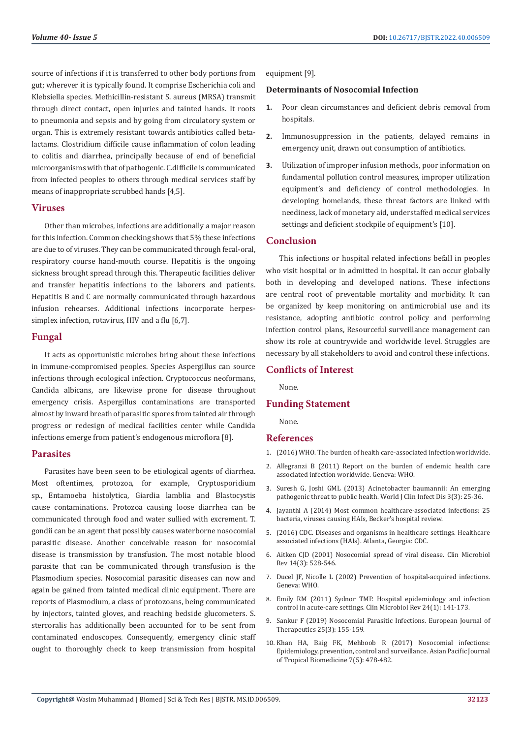source of infections if it is transferred to other body portions from gut; wherever it is typically found. It comprise Escherichia coli and Klebsiella species. Methicillin-resistant S. aureus (MRSA) transmit through direct contact, open injuries and tainted hands. It roots to pneumonia and sepsis and by going from circulatory system or organ. This is extremely resistant towards antibiotics called betalactams. Clostridium difficile cause inflammation of colon leading to colitis and diarrhea, principally because of end of beneficial microorganisms with that of pathogenic. C.difficile is communicated from infected peoples to others through medical services staff by means of inappropriate scrubbed hands [4,5].

#### **Viruses**

Other than microbes, infections are additionally a major reason for this infection. Common checking shows that 5% these infections are due to of viruses. They can be communicated through fecal-oral, respiratory course hand-mouth course. Hepatitis is the ongoing sickness brought spread through this. Therapeutic facilities deliver and transfer hepatitis infections to the laborers and patients. Hepatitis B and C are normally communicated through hazardous infusion rehearses. Additional infections incorporate herpessimplex infection, rotavirus, HIV and a flu [6,7].

### **Fungal**

It acts as opportunistic microbes bring about these infections in immune-compromised peoples. Species Aspergillus can source infections through ecological infection. Cryptococcus neoformans, Candida albicans, are likewise prone for disease throughout emergency crisis. Aspergillus contaminations are transported almost by inward breath of parasitic spores from tainted air through progress or redesign of medical facilities center while Candida infections emerge from patient's endogenous microflora [8].

# **Parasites**

Parasites have been seen to be etiological agents of diarrhea. Most oftentimes, protozoa, for example, Cryptosporidium sp., Entamoeba histolytica, Giardia lamblia and Blastocystis cause contaminations. Protozoa causing loose diarrhea can be communicated through food and water sullied with excrement. T. gondii can be an agent that possibly causes waterborne nosocomial parasitic disease. Another conceivable reason for nosocomial disease is transmission by transfusion. The most notable blood parasite that can be communicated through transfusion is the Plasmodium species. Nosocomial parasitic diseases can now and again be gained from tainted medical clinic equipment. There are reports of Plasmodium, a class of protozoans, being communicated by injectors, tainted gloves, and reaching bedside glucometers. S. stercoralis has additionally been accounted for to be sent from contaminated endoscopes. Consequently, emergency clinic staff ought to thoroughly check to keep transmission from hospital

equipment [9].

# **Determinants of Nosocomial Infection**

- **1.** Poor clean circumstances and deficient debris removal from hospitals.
- **2.** Immunosuppression in the patients, delayed remains in emergency unit, drawn out consumption of antibiotics.
- **3.** Utilization of improper infusion methods, poor information on fundamental pollution control measures, improper utilization equipment's and deficiency of control methodologies. In developing homelands, these threat factors are linked with neediness, lack of monetary aid, understaffed medical services settings and deficient stockpile of equipment's [10].

# **Conclusion**

This infections or hospital related infections befall in peoples who visit hospital or in admitted in hospital. It can occur globally both in developing and developed nations. These infections are central root of preventable mortality and morbidity. It can be organized by keep monitoring on antimicrobial use and its resistance, adopting antibiotic control policy and performing infection control plans, Resourceful surveillance management can show its role at countrywide and worldwide level. Struggles are necessary by all stakeholders to avoid and control these infections.

# **Conflicts of Interest**

None.

# **Funding Statement**

None.

#### **References**

- 1. (2016) WHO. The burden of health care-associated infection worldwide.
- 2. [Allegranzi B \(2011\) Report on the burden of endemic health care](https://apps.who.int/iris/bitstream/handle/10665/80135/9789241501507_eng.pdf) [associated infection worldwide. Geneva: WHO.](https://apps.who.int/iris/bitstream/handle/10665/80135/9789241501507_eng.pdf)
- 3. [Suresh G, Joshi GML \(2013\) Acinetobacter baumannii: An emerging](https://www.wjgnet.com/2220-3176/full/v3/i3/25.htm) [pathogenic threat to public health. World J Clin Infect Dis 3\(3\): 25-36.](https://www.wjgnet.com/2220-3176/full/v3/i3/25.htm)
- 4. [Jayanthi A \(2014\) Most common healthcare-associated infections: 25](https://www.beckershospitalreview.com/quality/most-common-healthcare-associated-infections-25-bacteria-viruses-causing-hais.html) [bacteria, viruses causing HAIs, Becker's hospital review.](https://www.beckershospitalreview.com/quality/most-common-healthcare-associated-infections-25-bacteria-viruses-causing-hais.html)
- 5. [\(2016\) CDC. Diseases and organisms in healthcare settings. Healthcare](https://www.cdc.gov/hai/organisms/organisms.html) [associated infections \(HAIs\). Atlanta, Georgia: CDC.](https://www.cdc.gov/hai/organisms/organisms.html)
- 6. [Aitken CJD \(2001\) Nosocomial spread of viral disease. Clin Microbiol](https://pubmed.ncbi.nlm.nih.gov/11432812/) [Rev 14\(3\): 528-546.](https://pubmed.ncbi.nlm.nih.gov/11432812/)
- 7. [Ducel JF, Nicolle L \(2002\) Prevention of hospital-acquired infections.](https://www.who.int/csr/resources/publications/whocdscsreph200212.pdf) [Geneva: WHO.](https://www.who.int/csr/resources/publications/whocdscsreph200212.pdf)
- 8. [Emily RM \(2011\) Sydnor TMP. Hospital epidemiology and infection](https://www.ncbi.nlm.nih.gov/labs/pmc/articles/PMC3021207/) [control in acute-care settings. Clin Microbiol Rev 24\(1\): 141-173.](https://www.ncbi.nlm.nih.gov/labs/pmc/articles/PMC3021207/)
- 9. [Sankur F \(2019\) Nosocomial Parasitic Infections. European Journal of](https://eurjther.com/Content/files/sayilar/64/155-158.pdf) [Therapeutics 25\(3\): 155-159.](https://eurjther.com/Content/files/sayilar/64/155-158.pdf)
- 10. [Khan HA, Baig FK, Mehboob R \(2017\) Nosocomial infections:](https://www.sciencedirect.com/science/article/pii/S2221169116309509) [Epidemiology, prevention, control and surveillance. Asian Pacific Journal](https://www.sciencedirect.com/science/article/pii/S2221169116309509) [of Tropical Biomedicine 7\(5\): 478-482.](https://www.sciencedirect.com/science/article/pii/S2221169116309509)